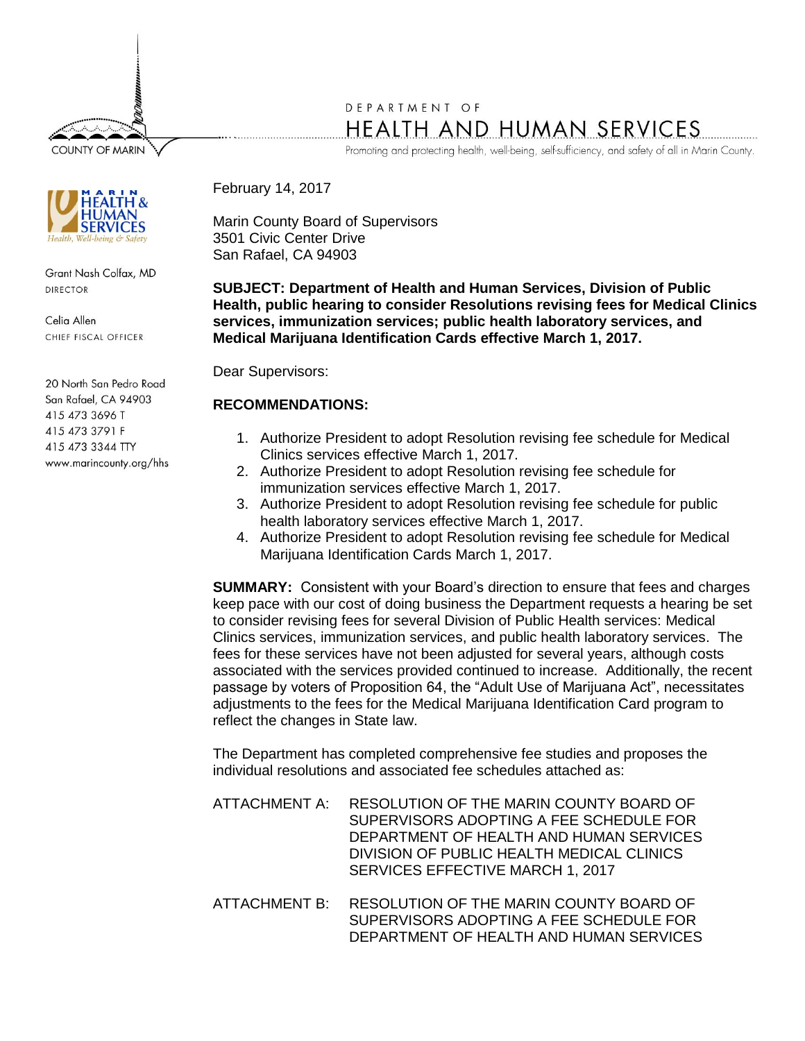**COUNTY OF MARIN** 



Grant Nash Colfax, MD **DIRECTOR** 

Celia Allen CHIEF FISCAL OFFICER

20 North San Pedro Road San Rafael, CA 94903 415 473 3696 T 415 473 3791 F 415 473 3344 TTY www.marincounty.org/hhs

# DEPARTMENT OF HEALTH AND HUMAN SERVICES

Promoting and protecting health, well-being, self-sufficiency, and safety of all in Marin County.

February 14, 2017

Marin County Board of Supervisors 3501 Civic Center Drive San Rafael, CA 94903

**SUBJECT: Department of Health and Human Services, Division of Public Health, public hearing to consider Resolutions revising fees for Medical Clinics services, immunization services; public health laboratory services, and Medical Marijuana Identification Cards effective March 1, 2017.**

Dear Supervisors:

## **RECOMMENDATIONS:**

- 1. Authorize President to adopt Resolution revising fee schedule for Medical Clinics services effective March 1, 2017.
- 2. Authorize President to adopt Resolution revising fee schedule for immunization services effective March 1, 2017.
- 3. Authorize President to adopt Resolution revising fee schedule for public health laboratory services effective March 1, 2017.
- 4. Authorize President to adopt Resolution revising fee schedule for Medical Marijuana Identification Cards March 1, 2017.

**SUMMARY:** Consistent with your Board's direction to ensure that fees and charges keep pace with our cost of doing business the Department requests a hearing be set to consider revising fees for several Division of Public Health services: Medical Clinics services, immunization services, and public health laboratory services. The fees for these services have not been adjusted for several years, although costs associated with the services provided continued to increase. Additionally, the recent passage by voters of Proposition 64, the "Adult Use of Marijuana Act", necessitates adjustments to the fees for the Medical Marijuana Identification Card program to reflect the changes in State law.

The Department has completed comprehensive fee studies and proposes the individual resolutions and associated fee schedules attached as:

- ATTACHMENT A: RESOLUTION OF THE MARIN COUNTY BOARD OF SUPERVISORS ADOPTING A FFF SCHEDULE FOR DEPARTMENT OF HEALTH AND HUMAN SERVICES DIVISION OF PUBLIC HEALTH MEDICAL CLINICS SERVICES EFFECTIVE MARCH 1, 2017
- ATTACHMENT B: RESOLUTION OF THE MARIN COUNTY BOARD OF SUPERVISORS ADOPTING A FEE SCHEDULE FOR DEPARTMENT OF HEALTH AND HUMAN SERVICES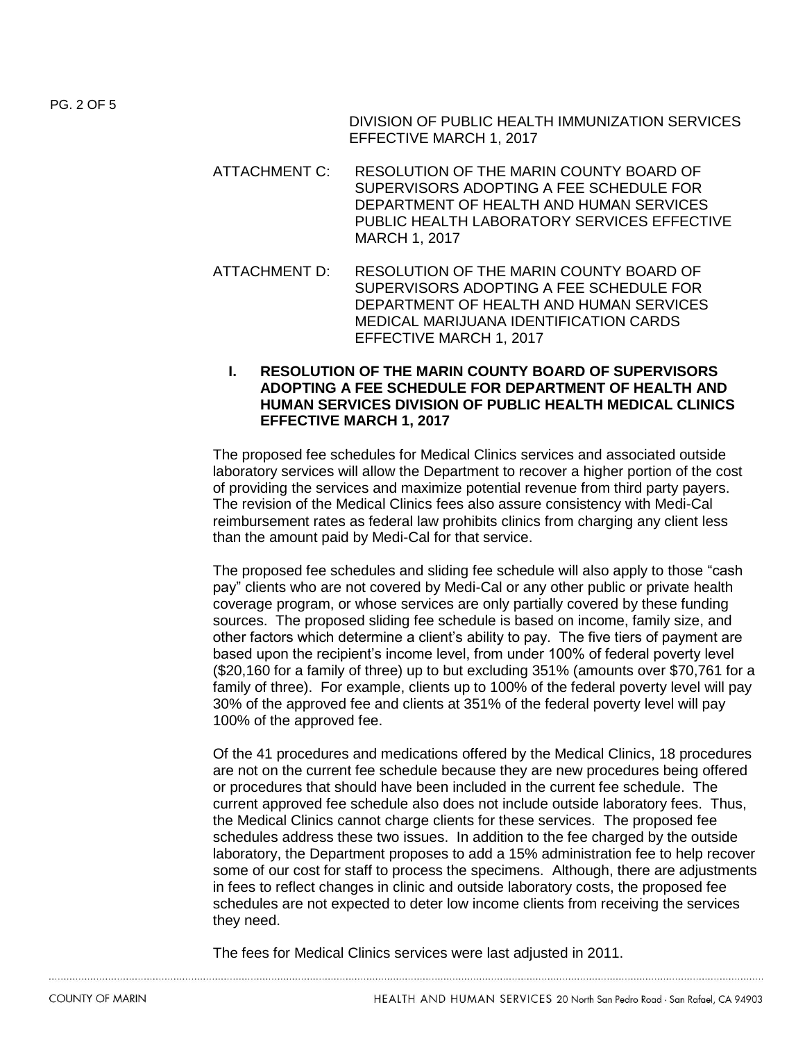DIVISION OF PUBLIC HEALTH IMMUNIZATION SERVICES EFFECTIVE MARCH 1, 2017

- ATTACHMENT C: RESOLUTION OF THE MARIN COUNTY BOARD OF SUPERVISORS ADOPTING A FFF SCHEDULE FOR DEPARTMENT OF HEALTH AND HUMAN SERVICES PUBLIC HEALTH LABORATORY SERVICES EFFECTIVE MARCH 1, 2017
- ATTACHMENT D: RESOLUTION OF THE MARIN COUNTY BOARD OF SUPERVISORS ADOPTING A FEE SCHEDULE FOR DEPARTMENT OF HEALTH AND HUMAN SERVICES MEDICAL MARIJUANA IDENTIFICATION CARDS EFFECTIVE MARCH 1, 2017
	- **I. RESOLUTION OF THE MARIN COUNTY BOARD OF SUPERVISORS ADOPTING A FEE SCHEDULE FOR DEPARTMENT OF HEALTH AND HUMAN SERVICES DIVISION OF PUBLIC HEALTH MEDICAL CLINICS EFFECTIVE MARCH 1, 2017**

The proposed fee schedules for Medical Clinics services and associated outside laboratory services will allow the Department to recover a higher portion of the cost of providing the services and maximize potential revenue from third party payers. The revision of the Medical Clinics fees also assure consistency with Medi-Cal reimbursement rates as federal law prohibits clinics from charging any client less than the amount paid by Medi-Cal for that service.

The proposed fee schedules and sliding fee schedule will also apply to those "cash pay" clients who are not covered by Medi-Cal or any other public or private health coverage program, or whose services are only partially covered by these funding sources. The proposed sliding fee schedule is based on income, family size, and other factors which determine a client's ability to pay. The five tiers of payment are based upon the recipient's income level, from under 100% of federal poverty level (\$20,160 for a family of three) up to but excluding 351% (amounts over \$70,761 for a family of three). For example, clients up to 100% of the federal poverty level will pay 30% of the approved fee and clients at 351% of the federal poverty level will pay 100% of the approved fee.

Of the 41 procedures and medications offered by the Medical Clinics, 18 procedures are not on the current fee schedule because they are new procedures being offered or procedures that should have been included in the current fee schedule. The current approved fee schedule also does not include outside laboratory fees. Thus, the Medical Clinics cannot charge clients for these services. The proposed fee schedules address these two issues. In addition to the fee charged by the outside laboratory, the Department proposes to add a 15% administration fee to help recover some of our cost for staff to process the specimens. Although, there are adjustments in fees to reflect changes in clinic and outside laboratory costs, the proposed fee schedules are not expected to deter low income clients from receiving the services they need.

The fees for Medical Clinics services were last adjusted in 2011.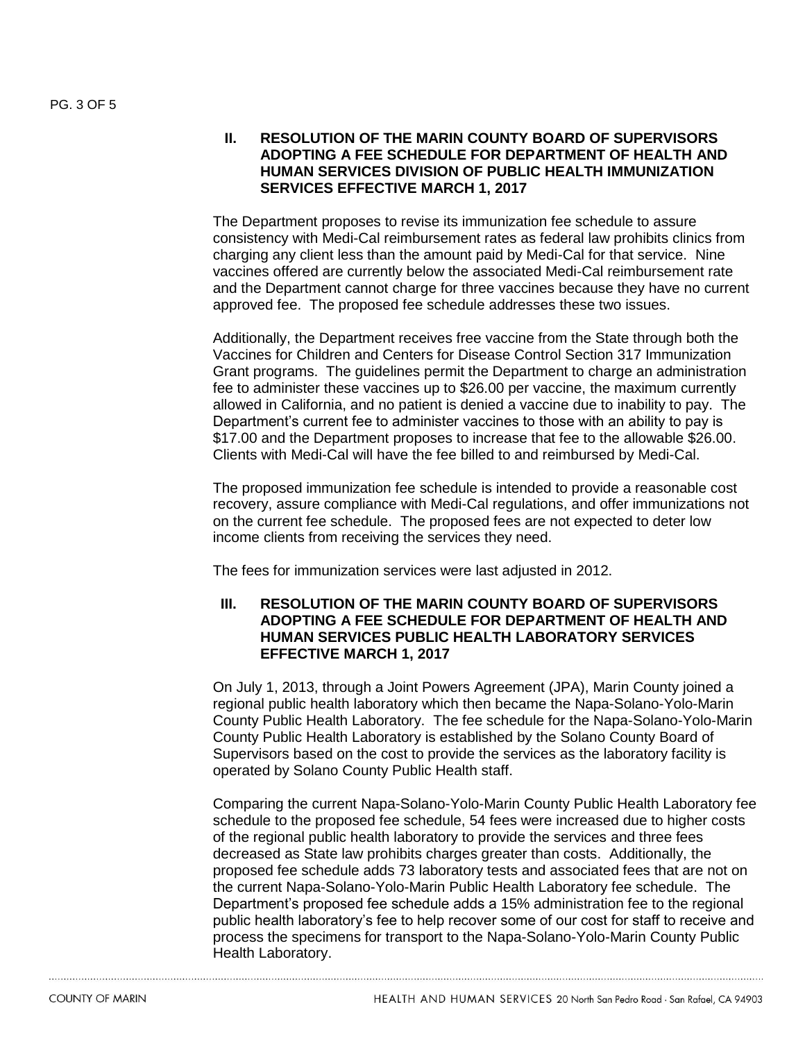## **II. RESOLUTION OF THE MARIN COUNTY BOARD OF SUPERVISORS ADOPTING A FEE SCHEDULE FOR DEPARTMENT OF HEALTH AND HUMAN SERVICES DIVISION OF PUBLIC HEALTH IMMUNIZATION SERVICES EFFECTIVE MARCH 1, 2017**

The Department proposes to revise its immunization fee schedule to assure consistency with Medi-Cal reimbursement rates as federal law prohibits clinics from charging any client less than the amount paid by Medi-Cal for that service. Nine vaccines offered are currently below the associated Medi-Cal reimbursement rate and the Department cannot charge for three vaccines because they have no current approved fee. The proposed fee schedule addresses these two issues.

Additionally, the Department receives free vaccine from the State through both the Vaccines for Children and Centers for Disease Control Section 317 Immunization Grant programs. The guidelines permit the Department to charge an administration fee to administer these vaccines up to \$26.00 per vaccine, the maximum currently allowed in California, and no patient is denied a vaccine due to inability to pay. The Department's current fee to administer vaccines to those with an ability to pay is \$17.00 and the Department proposes to increase that fee to the allowable \$26.00. Clients with Medi-Cal will have the fee billed to and reimbursed by Medi-Cal.

The proposed immunization fee schedule is intended to provide a reasonable cost recovery, assure compliance with Medi-Cal regulations, and offer immunizations not on the current fee schedule. The proposed fees are not expected to deter low income clients from receiving the services they need.

The fees for immunization services were last adjusted in 2012.

#### **III. RESOLUTION OF THE MARIN COUNTY BOARD OF SUPERVISORS ADOPTING A FEE SCHEDULE FOR DEPARTMENT OF HEALTH AND HUMAN SERVICES PUBLIC HEALTH LABORATORY SERVICES EFFECTIVE MARCH 1, 2017**

On July 1, 2013, through a Joint Powers Agreement (JPA), Marin County joined a regional public health laboratory which then became the Napa-Solano-Yolo-Marin County Public Health Laboratory. The fee schedule for the Napa-Solano-Yolo-Marin County Public Health Laboratory is established by the Solano County Board of Supervisors based on the cost to provide the services as the laboratory facility is operated by Solano County Public Health staff.

Comparing the current Napa-Solano-Yolo-Marin County Public Health Laboratory fee schedule to the proposed fee schedule, 54 fees were increased due to higher costs of the regional public health laboratory to provide the services and three fees decreased as State law prohibits charges greater than costs. Additionally, the proposed fee schedule adds 73 laboratory tests and associated fees that are not on the current Napa-Solano-Yolo-Marin Public Health Laboratory fee schedule. The Department's proposed fee schedule adds a 15% administration fee to the regional public health laboratory's fee to help recover some of our cost for staff to receive and process the specimens for transport to the Napa-Solano-Yolo-Marin County Public Health Laboratory.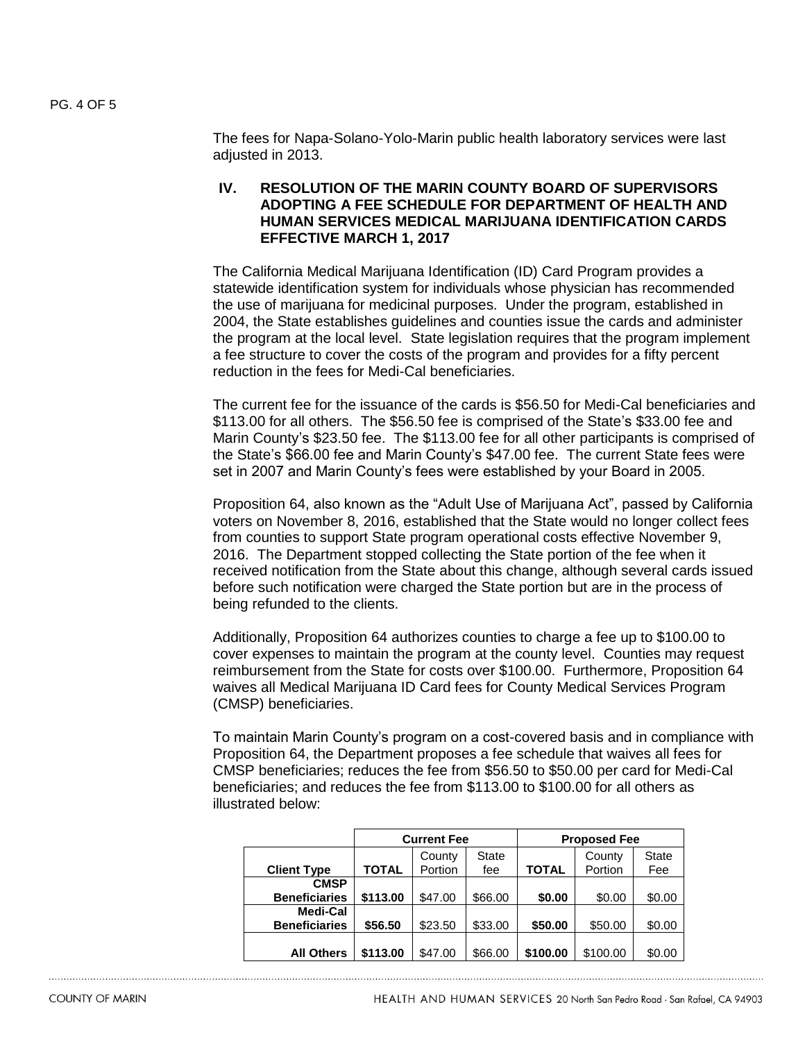The fees for Napa-Solano-Yolo-Marin public health laboratory services were last adjusted in 2013.

## **IV. RESOLUTION OF THE MARIN COUNTY BOARD OF SUPERVISORS ADOPTING A FEE SCHEDULE FOR DEPARTMENT OF HEALTH AND HUMAN SERVICES MEDICAL MARIJUANA IDENTIFICATION CARDS EFFECTIVE MARCH 1, 2017**

The California Medical Marijuana Identification (ID) Card Program provides a statewide identification system for individuals whose physician has recommended the use of marijuana for medicinal purposes. Under the program, established in 2004, the State establishes guidelines and counties issue the cards and administer the program at the local level. State legislation requires that the program implement a fee structure to cover the costs of the program and provides for a fifty percent reduction in the fees for Medi-Cal beneficiaries.

The current fee for the issuance of the cards is \$56.50 for Medi-Cal beneficiaries and \$113.00 for all others. The \$56.50 fee is comprised of the State's \$33.00 fee and Marin County's \$23.50 fee. The \$113.00 fee for all other participants is comprised of the State's \$66.00 fee and Marin County's \$47.00 fee. The current State fees were set in 2007 and Marin County's fees were established by your Board in 2005.

Proposition 64, also known as the "Adult Use of Marijuana Act", passed by California voters on November 8, 2016, established that the State would no longer collect fees from counties to support State program operational costs effective November 9, 2016. The Department stopped collecting the State portion of the fee when it received notification from the State about this change, although several cards issued before such notification were charged the State portion but are in the process of being refunded to the clients.

Additionally, Proposition 64 authorizes counties to charge a fee up to \$100.00 to cover expenses to maintain the program at the county level. Counties may request reimbursement from the State for costs over \$100.00. Furthermore, Proposition 64 waives all Medical Marijuana ID Card fees for County Medical Services Program (CMSP) beneficiaries.

To maintain Marin County's program on a cost-covered basis and in compliance with Proposition 64, the Department proposes a fee schedule that waives all fees for CMSP beneficiaries; reduces the fee from \$56.50 to \$50.00 per card for Medi-Cal beneficiaries; and reduces the fee from \$113.00 to \$100.00 for all others as illustrated below:

|                                     | <b>Current Fee</b> |                   |                     | <b>Proposed Fee</b> |                   |                     |
|-------------------------------------|--------------------|-------------------|---------------------|---------------------|-------------------|---------------------|
| <b>Client Type</b>                  | <b>TOTAL</b>       | County<br>Portion | <b>State</b><br>fee | <b>TOTAL</b>        | County<br>Portion | <b>State</b><br>Fee |
| <b>CMSP</b><br><b>Beneficiaries</b> | \$113.00           | \$47.00           | \$66.00             | \$0.00              | \$0.00            | \$0.00              |
| Medi-Cal<br><b>Beneficiaries</b>    | \$56.50            | \$23.50           | \$33.00             | \$50.00             | \$50.00           | \$0.00              |
| <b>All Others</b>                   | \$113.00           | \$47.00           | \$66.00             | \$100.00            | \$100.00          | \$0.00              |